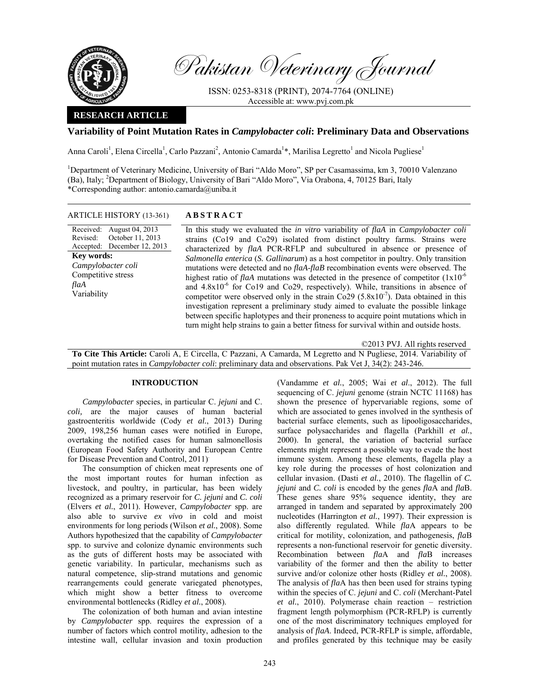

Pakistan Veterinary Journal

ISSN: 0253-8318 (PRINT), 2074-7764 (ONLINE) Accessible at: www.pvj.com.pk

# **RESEARCH ARTICLE**

## **Variability of Point Mutation Rates in** *Campylobacter coli***: Preliminary Data and Observations**

Anna Caroli<sup>1</sup>, Elena Circella<sup>1</sup>, Carlo Pazzani<sup>2</sup>, Antonio Camarda<sup>1\*</sup>, Marilisa Legretto<sup>1</sup> and Nicola Pugliese<sup>1</sup>

<sup>1</sup>Department of Veterinary Medicine, University of Bari "Aldo Moro", SP per Casamassima, km 3, 70010 Valenzano (Ba), Italy; <sup>2</sup>Department of Biology, University of Bari "Aldo Moro", Via Orabona, 4, 70125 Bari, Italy \*Corresponding author: antonio.camarda@uniba.it

#### ARTICLE HISTORY (13-361) **ABSTRACT**

Received: August 04, 2013 Revised: Accepted: December 12, 2013 October 11, 2013 **Key words:**  *Campylobacter coli*  Competitive stress *flaA*  Variability

 In this study we evaluated the *in vitro* variability of *flaA* in *Campylobacter coli* strains (Co19 and Co29) isolated from distinct poultry farms. Strains were characterized by *flaA* PCR-RFLP and subcultured in absence or presence of *Salmonella enterica* (*S. Gallinarum*) as a host competitor in poultry. Only transition mutations were detected and no *flaA*-*flaB* recombination events were observed. The highest ratio of *flaA* mutations was detected in the presence of competitor  $(1x10^{-6})$ and  $4.8x10^{-6}$  for Co19 and Co29, respectively). While, transitions in absence of competitor were observed only in the strain Co29 (5.8x10<sup>-7</sup>). Data obtained in this investigation represent a preliminary study aimed to evaluate the possible linkage between specific haplotypes and their proneness to acquire point mutations which in turn might help strains to gain a better fitness for survival within and outside hosts.

©2013 PVJ. All rights reserved

**To Cite This Article:** Caroli A, E Circella, C Pazzani, A Camarda, M Legretto and N Pugliese, 2014. Variability of point mutation rates in *Campylobacter coli*: preliminary data and observations. Pak Vet J, 34(2): 243-246.

## **INTRODUCTION**

*Campylobacter* species, in particular C. *jejuni* and C. *coli,* are the major causes of human bacterial gastroenteritis worldwide (Cody *et al.*, 2013) During 2009, 198,256 human cases were notified in Europe, overtaking the notified cases for human salmonellosis (European Food Safety Authority and European Centre for Disease Prevention and Control, 2011).

The consumption of chicken meat represents one of the most important routes for human infection as livestock, and poultry, in particular, has been widely recognized as a primary reservoir for *C. jejuni* and *C. coli*  (Elvers *et al.*, 2011). However, *Campylobacter* spp. are also able to survive *ex vivo* in cold and moist environments for long periods (Wilson *et al.*, 2008). Some Authors hypothesized that the capability of *Campylobacter*  spp. to survive and colonize dynamic environments such as the guts of different hosts may be associated with genetic variability. In particular, mechanisms such as natural competence, slip-strand mutations and genomic rearrangements could generate variegated phenotypes, which might show a better fitness to overcome environmental bottlenecks (Ridley *et al.*, 2008).

The colonization of both human and avian intestine by *Campylobacter* spp. requires the expression of a number of factors which control motility, adhesion to the intestine wall, cellular invasion and toxin production

(Vandamme *et al.*, 2005; Wai *et al*., 2012). The full sequencing of C. *jejuni* genome (strain NCTC 11168) has shown the presence of hypervariable regions, some of which are associated to genes involved in the synthesis of bacterial surface elements, such as lipooligosaccharides, surface polysaccharides and flagella (Parkhill *et al.*, 2000). In general, the variation of bacterial surface elements might represent a possible way to evade the host immune system. Among these elements, flagella play a key role during the processes of host colonization and cellular invasion. (Dasti *et al.*, 2010). The flagellin of *C. jejuni* and *C. coli* is encoded by the genes *fla*A and *fla*B. These genes share 95% sequence identity, they are arranged in tandem and separated by approximately 200 nucleotides (Harrington *et al.*, 1997). Their expression is also differently regulated. While *fla*A appears to be critical for motility, colonization, and pathogenesis, *fla*B represents a non-functional reservoir for genetic diversity. Recombination between *fla*A and *fla*B increases variability of the former and then the ability to better survive and/or colonize other hosts (Ridley *et al.*, 2008). The analysis of *fla*A has then been used for strains typing within the species of C. *jejuni* and C. *coli* (Merchant-Patel *et al.*, 2010). Polymerase chain reaction – restriction fragment length polymorphism (PCR-RFLP) is currently one of the most discriminatory techniques employed for analysis of *flaA*. Indeed, PCR-RFLP is simple, affordable, and profiles generated by this technique may be easily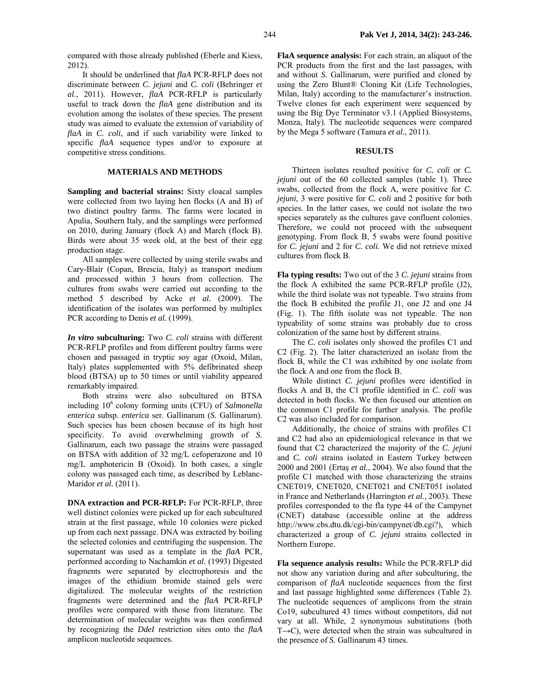It should be underlined that *flaA* PCR-RFLP does not discriminate between *C. jejuni* and *C. coli* (Behringer *et al*., 2011). However, *flaA* PCR-RFLP is particularly useful to track down the *flaA* gene distribution and its evolution among the isolates of these species. The present study was aimed to evaluate the extension of variability of *flaA* in *C. coli*, and if such variability were linked to specific *flaA* sequence types and/or to exposure at competitive stress conditions.

## **MATERIALS AND METHODS**

**Sampling and bacterial strains:** Sixty cloacal samples were collected from two laying hen flocks (A and B) of two distinct poultry farms. The farms were located in Apulia, Southern Italy, and the samplings were performed on 2010, during January (flock A) and March (flock B). Birds were about 35 week old, at the best of their egg production stage.

All samples were collected by using sterile swabs and Cary-Blair (Copan, Brescia, Italy) as transport medium and processed within 3 hours from collection. The cultures from swabs were carried out according to the method 5 described by Acke *et al.* (2009). The identification of the isolates was performed by multiplex PCR according to Denis *et al.* (1999).

*In vitro* **subculturing:** Two *C. coli* strains with different PCR-RFLP profiles and from different poultry farms were chosen and passaged in tryptic soy agar (Oxoid, Milan, Italy) plates supplemented with 5% defibrinated sheep blood (BTSA) up to 50 times or until viability appeared remarkably impaired.

Both strains were also subcultured on BTSA including 10<sup>6</sup> colony forming units (CFU) of *Salmonella enterica* subsp. *enterica* ser. Gallinarum (*S.* Gallinarum). Such species has been chosen because of its high host specificity. To avoid overwhelming growth of *S.*  Gallinarum, each two passage the strains were passaged on BTSA with addition of 32 mg/L cefoperazone and 10 mg/L amphotericin B (Oxoid). In both cases, a single colony was passaged each time, as described by Leblanc-Maridor *et al.* (2011).

**DNA extraction and PCR-RFLP:** For PCR-RFLP, three well distinct colonies were picked up for each subcultured strain at the first passage, while 10 colonies were picked up from each next passage. DNA was extracted by boiling the selected colonies and centrifuging the suspension. The supernatant was used as a template in the *flaA* PCR, performed according to Nachamkin *et al.* (1993) Digested fragments were separated by electrophoresis and the images of the ethidium bromide stained gels were digitalized. The molecular weights of the restriction fragments were determined and the *flaA* PCR-RFLP profiles were compared with those from literature. The determination of molecular weights was then confirmed by recognizing the *DdeI* restriction sites onto the *flaA*  amplicon nucleotide sequences.

**FlaA sequence analysis:** For each strain, an aliquot of the PCR products from the first and the last passages, with and without *S.* Gallinarum, were purified and cloned by using the Zero Blunt® Cloning Kit (Life Technologies, Milan, Italy) according to the manufacturer's instruction. Twelve clones for each experiment were sequenced by using the Big Dye Terminator v3.1 (Applied Biosystems, Monza, Italy). The nucleotide sequences were compared by the Mega 5 software (Tamura *et al.*, 2011).

#### **RESULTS**

Thirteen isolates resulted positive for *C. coli* or *C. jejuni* out of the 60 collected samples (table 1). Three swabs, collected from the flock A, were positive for *C. jejuni*, 3 were positive for *C. coli* and 2 positive for both species. In the latter cases, we could not isolate the two species separately as the cultures gave confluent colonies. Therefore, we could not proceed with the subsequent genotyping. From flock B, 5 swabs were found positive for *C. jejuni* and 2 for *C. coli.* We did not retrieve mixed cultures from flock B.

**Fla typing results:** Two out of the 3 *C. jejuni* strains from the flock A exhibited the same PCR-RFLP profile (J2), while the third isolate was not typeable. Two strains from the flock B exhibited the profile J1, one J2 and one J4 (Fig. 1). The fifth isolate was not typeable. The non typeability of some strains was probably due to cross colonization of the same host by different strains.

The *C. coli* isolates only showed the profiles C1 and C2 (Fig. 2). The latter characterized an isolate from the flock B, while the C1 was exhibited by one isolate from the flock A and one from the flock B.

While distinct *C. jejuni* profiles were identified in flocks A and B, the C1 profile identified in *C. coli* was detected in both flocks. We then focused our attention on the common C1 profile for further analysis. The profile C2 was also included for comparison.

Additionally, the choice of strains with profiles C1 and C2 had also an epidemiological relevance in that we found that C2 characterized the majority of the *C. jejuni*  and *C. coli* strains isolated in Eastern Turkey between 2000 and 2001 (Ertaş *et al.*, 2004). We also found that the profile C1 matched with those characterizing the strains CNET019, CNET020, CNET021 and CNET051 isolated in France and Netherlands (Harrington *et al.*, 2003). These profiles corresponded to the fla type 44 of the Campynet (CNET) database (accessible online at the address http://www.cbs.dtu.dk/cgi-bin/campynet/db.cgi?), which characterized a group of *C. jejuni* strains collected in Northern Europe.

**Fla sequence analysis results:** While the PCR-RFLP did not show any variation during and after subculturing, the comparison of *flaA* nucleotide sequences from the first and last passage highlighted some differences (Table 2). The nucleotide sequences of amplicons from the strain Co19, subcultured 43 times without competitors, did not vary at all. While, 2 synonymous substitutions (both  $T\rightarrow C$ ), were detected when the strain was subcultured in the presence of *S.* Gallinarum 43 times.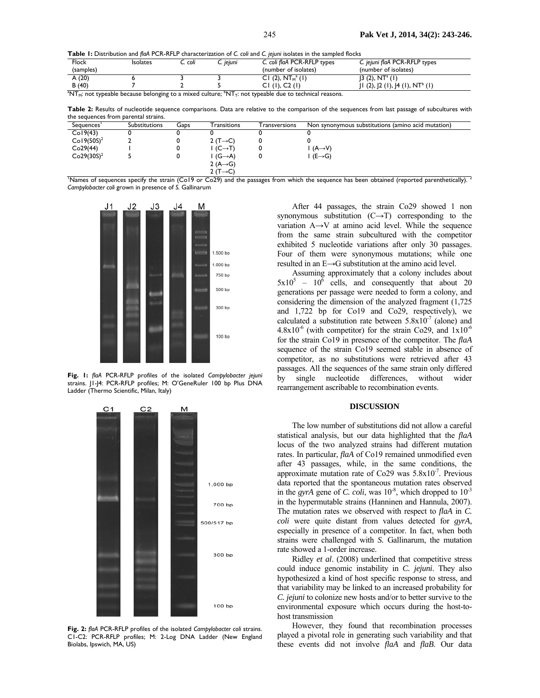**Table 1:** Distribution and *flaA* PCR-RFLP characterization of *C. coli* and *C. jejuni* isolates in the sampled flocks

| Flock                                                                                                                                                                           | <b>Isolates</b> | C. coli | C. jejuni | C. coli flaA PCR-RFLP types | C. jejuni flaA PCR-RFLP types               |  |  |  |  |
|---------------------------------------------------------------------------------------------------------------------------------------------------------------------------------|-----------------|---------|-----------|-----------------------------|---------------------------------------------|--|--|--|--|
| (samples)                                                                                                                                                                       |                 |         |           | (number of isolates)        | (number of isolates)                        |  |  |  |  |
| A $(20)$                                                                                                                                                                        |                 |         |           | CI (2), $NTMa$ (1)          | 3(2), NT <sup>a</sup> (1)                   |  |  |  |  |
| B(40)                                                                                                                                                                           |                 |         |           | CI (I), C2 (I)              | '1 (2),  2 (1),  4 (1), NT <sup>b</sup> (1) |  |  |  |  |
| ak l∓ is a constructed by the construction of the construction<br>a de la contrava de la contrava de 1990, en la característica de la característica de la característica de la |                 |         |           |                             |                                             |  |  |  |  |

 $\rm ^{a}N T_{M}$ : not typeable because belonging to a mixed culture;  $\rm ^{b}N T_{T}$ : not typeable due to technical reasons.

**Table 2:** Results of nucleotide sequence comparisons. Data are relative to the comparison of the sequences from last passage of subcultures with the sequences from parental strains.

| Sequences'    | <b>Substitutions</b> | Gaps | Transitions           | <b>Transversions</b> | Non synonymous substitutions (amino acid mutation) |
|---------------|----------------------|------|-----------------------|----------------------|----------------------------------------------------|
| Co19(43)      |                      |      |                       |                      |                                                    |
| $Co19(50S)^2$ |                      |      | 2 (T $\rightarrow$ C) |                      |                                                    |
| Co29(44)      |                      |      | $(C \rightarrow T)$   |                      | $(A \rightarrow V)$                                |
| $Co29(30S)^2$ |                      |      | $(G \rightarrow A)$   |                      | $(E \rightarrow G)$                                |
|               |                      |      | 2 $(A \rightarrow G)$ |                      |                                                    |
|               |                      |      | $2(T \rightarrow C)$  |                      |                                                    |

 $2$  (T→C)<br>Names of sequences specify the strain (Co19 or Co29) and the passages from which the sequence has been obtained (reported parenthetically). <sup>2</sup> *Campylobacter coli* grown in presence of *S.* Gallinarum



**Fig. 1:** *flaA* PCR-RFLP profiles of the isolated *Campylobacter jejuni*  strains. J1-J4: PCR-RFLP profiles; M: O'GeneRuler 100 bp Plus DNA Ladder (Thermo Scientific, Milan, Italy)



**Fig. 2:** *flaA* PCR-RFLP profiles of the isolated *Campylobacter coli* strains. C1-C2: PCR-RFLP profiles; M: 2-Log DNA Ladder (New England Biolabs, Ipswich, MA, US)

After 44 passages, the strain Co29 showed 1 non synonymous substitution  $(C \rightarrow T)$  corresponding to the variation  $A \rightarrow V$  at amino acid level. While the sequence from the same strain subcultured with the competitor exhibited 5 nucleotide variations after only 30 passages. Four of them were synonymous mutations; while one resulted in an E→G substitution at the amino acid level.

Assuming approximately that a colony includes about  $5x10^5 - 10^6$  cells, and consequently that about 20 generations per passage were needed to form a colony, and considering the dimension of the analyzed fragment (1,725 and 1,722 bp for Co19 and Co29, respectively), we calculated a substitution rate between  $5.8x10^{-7}$  (alone) and  $4.8x10^{-6}$  (with competitor) for the strain Co29, and  $1x10^{-6}$ for the strain Co19 in presence of the competitor. The *flaA*  sequence of the strain Co19 seemed stable in absence of competitor, as no substitutions were retrieved after 43 passages. All the sequences of the same strain only differed by single nucleotide differences, without wider rearrangement ascribable to recombination events.

#### **DISCUSSION**

The low number of substitutions did not allow a careful statistical analysis, but our data highlighted that the *flaA*  locus of the two analyzed strains had different mutation rates. In particular, *flaA* of Co19 remained unmodified even after 43 passages, while, in the same conditions, the approximate mutation rate of Co29 was  $5.8x10^{-7}$ . Previous data reported that the spontaneous mutation rates observed in the *gyrA* gene of *C. coli*, was  $10^{-8}$ , which dropped to  $10^{-3}$ in the hypermutable strains (Hanninen and Hannula, 2007). The mutation rates we observed with respect to *flaA* in *C. coli* were quite distant from values detected for *gyrA*, especially in presence of a competitor. In fact, when both strains were challenged with *S.* Gallinarum, the mutation rate showed a 1-order increase.

Ridley *et al*. (2008) underlined that competitive stress could induce genomic instability in *C. jejuni*. They also hypothesized a kind of host specific response to stress, and that variability may be linked to an increased probability for *C. jejuni* to colonize new hosts and/or to better survive to the environmental exposure which occurs during the host-tohost transmission

However, they found that recombination processes played a pivotal role in generating such variability and that these events did not involve *flaA* and *flaB*. Our data